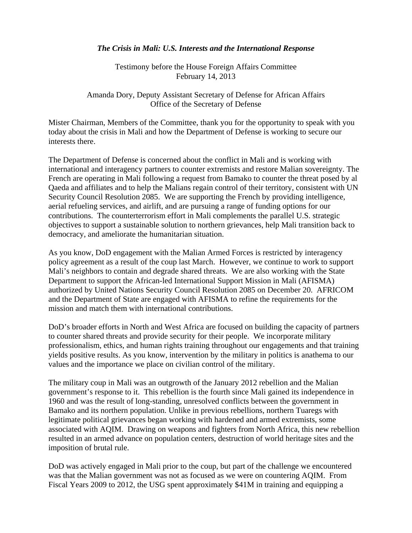## *The Crisis in Mali: U.S. Interests and the International Response*

Testimony before the House Foreign Affairs Committee February 14, 2013

Amanda Dory, Deputy Assistant Secretary of Defense for African Affairs Office of the Secretary of Defense

Mister Chairman, Members of the Committee, thank you for the opportunity to speak with you today about the crisis in Mali and how the Department of Defense is working to secure our interests there.

The Department of Defense is concerned about the conflict in Mali and is working with international and interagency partners to counter extremists and restore Malian sovereignty. The French are operating in Mali following a request from Bamako to counter the threat posed by al Qaeda and affiliates and to help the Malians regain control of their territory, consistent with UN Security Council Resolution 2085. We are supporting the French by providing intelligence, aerial refueling services, and airlift, and are pursuing a range of funding options for our contributions. The counterterrorism effort in Mali complements the parallel U.S. strategic objectives to support a sustainable solution to northern grievances, help Mali transition back to democracy, and ameliorate the humanitarian situation.

As you know, DoD engagement with the Malian Armed Forces is restricted by interagency policy agreement as a result of the coup last March. However, we continue to work to support Mali's neighbors to contain and degrade shared threats. We are also working with the State Department to support the African-led International Support Mission in Mali (AFISMA) authorized by United Nations Security Council Resolution 2085 on December 20. AFRICOM and the Department of State are engaged with AFISMA to refine the requirements for the mission and match them with international contributions.

DoD's broader efforts in North and West Africa are focused on building the capacity of partners to counter shared threats and provide security for their people. We incorporate military professionalism, ethics, and human rights training throughout our engagements and that training yields positive results. As you know, intervention by the military in politics is anathema to our values and the importance we place on civilian control of the military.

The military coup in Mali was an outgrowth of the January 2012 rebellion and the Malian government's response to it. This rebellion is the fourth since Mali gained its independence in 1960 and was the result of long-standing, unresolved conflicts between the government in Bamako and its northern population. Unlike in previous rebellions, northern Tuaregs with legitimate political grievances began working with hardened and armed extremists, some associated with AQIM. Drawing on weapons and fighters from North Africa, this new rebellion resulted in an armed advance on population centers, destruction of world heritage sites and the imposition of brutal rule.

DoD was actively engaged in Mali prior to the coup, but part of the challenge we encountered was that the Malian government was not as focused as we were on countering AQIM. From Fiscal Years 2009 to 2012, the USG spent approximately \$41M in training and equipping a